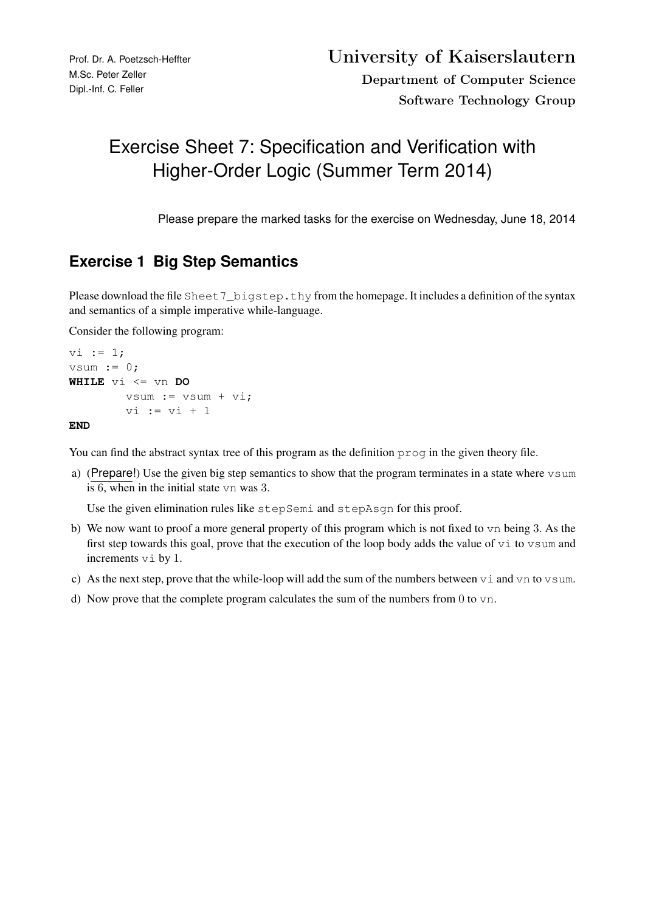## Exercise Sheet 7: Specification and Verification with Higher-Order Logic (Summer Term 2014)

Please prepare the marked tasks for the exercise on Wednesday, June 18, 2014

## **Exercise 1 Big Step Semantics**

Please download the file Sheet 7\_bigstep.thy from the homepage. It includes a definition of the syntax and semantics of a simple imperative while-language.

Consider the following program:

```
vi := 1;vsum := 0;
WHILE vi <= vn DO
       vsum := vsum + v i,vi := vi + 1
```
## **END**

You can find the abstract syntax tree of this program as the definition  $\gamma \gamma \sim \gamma$  in the given theory file.

a) (Prepare!) Use the given big step semantics to show that the program terminates in a state where vsum is 6, when in the initial state vn was 3.

Use the given elimination rules like stepSemi and stepAsgn for this proof.

- b) We now want to proof a more general property of this program which is not fixed to vn being 3. As the first step towards this goal, prove that the execution of the loop body adds the value of  $\vee$  i to  $\nu$ sum and increments vi by 1.
- c) As the next step, prove that the while-loop will add the sum of the numbers between vi and vn to vsum.
- d) Now prove that the complete program calculates the sum of the numbers from  $0$  to  $v$ n.